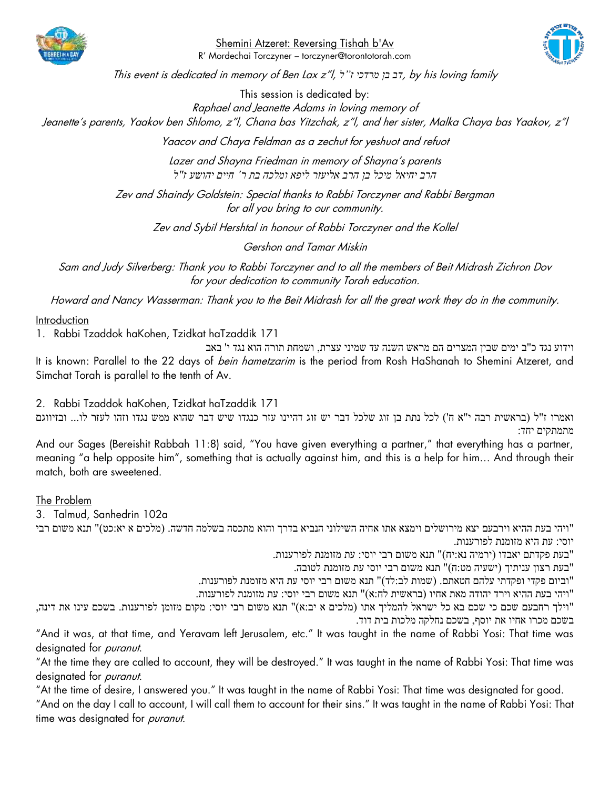

Shemini Atzeret: Reversing Tishah b'Av R' Mordechai Torczyner – torczyner@torontotorah.com



This event is dedicated in memory of Ben Lax z"l, *ל"ז מרדכי בן דב*, by his loving family

This session is dedicated by: Raphael and Jeanette Adams in loving memory of Jeanette's parents, Yaakov ben Shlomo, z"l, Chana bas Yitzchak, z"l, and her sister, Malka Chaya bas Yaakov, z"l

Yaacov and Chaya Feldman as a zechut for yeshuot and refuot

Lazer and Shayna Friedman in memory of Shayna's parents *הרב יחיאל מיכל בן הרב אליעזר ליפא ומלכה בת ר' חיים יהושע ז"ל*

Zev and Shaindy Goldstein: Special thanks to Rabbi Torczyner and Rabbi Bergman for all you bring to our community.

Zev and Sybil Hershtal in honour of Rabbi Torczyner and the Kollel

Gershon and Tamar Miskin

Sam and Judy Silverberg: Thank you to Rabbi Torczyner and to all the members of Beit Midrash Zichron Dov for your dedication to community Torah education.

Howard and Nancy Wasserman: Thank you to the Beit Midrash for all the great work they do in the community.

Introduction

1. Rabbi Tzaddok haKohen, Tzidkat haTzaddik 171

וידוע נגד כ"ב ימים שבין המצרים הם מראש השנה עד שמיני עצרת, ושמחת תורה הוא נגד י' באב It is known: Parallel to the 22 days of *bein hametzarim* is the period from Rosh HaShanah to Shemini Atzeret, and Simchat Torah is parallel to the tenth of Av.

2. Rabbi Tzaddok haKohen, Tzidkat haTzaddik 171 ואמרו ז"ל )בראשית רבה י"א ח'( לכל נתת בן זוג שלכל דבר יש זוג דהיינו עזר כנגדו שיש דבר שהוא ממש נגדו וזהו לעזר לו... ובזיווגם מתמתקים יחד:

And our Sages (Bereishit Rabbah 11:8) said, "You have given everything a partner," that everything has a partner, meaning "a help opposite him", something that is actually against him, and this is a help for him… And through their match, both are sweetened.

The Problem

3. Talmud, Sanhedrin 102a

"ויהי בעת ההיא וירבעם יצא מירושלים וימצא אתו אחיה השילוני הנביא בדרך והוא מתכסה בשלמה חדשה. )מלכים א יא:כט(" תנא משום רבי יוסי: עת היא מזומנת לפורענות.

"בעת פקדתם יאבדו )ירמיה נא: יח(" תנא משום רבי יוסי: עת מזומנת לפורענות.

"בעת רצון עניתיך )ישעיה מט:ח(" תנא משום רבי יוסי עת מזומנת לטובה.

"וביום פקדי ופקדתי עלהם חטאתם. )שמות לב:לד(" תנא משום רבי יוסי עת היא מזומנת לפורענות.

"ויהי בעת ההיא וירד יהודה מאת אחיו )בראשית לח:א(" תנא משום רבי יוסי: עת מזומנת לפורענות.

"וילך רחבעם שכם כי שכם בא כל ישראל להמליך אתו )מלכים א יב:א(" תנא משום רבי יוסי: מקום מזומן לפורענות. בשכם עינו את דינה, בשכם מכרו אחיו את יוסף, בשכם נחלקה מלכות בית דוד.

"And it was, at that time, and Yeravam left Jerusalem, etc." It was taught in the name of Rabbi Yosi: That time was designated for *puranut*.

"At the time they are called to account, they will be destroyed." It was taught in the name of Rabbi Yosi: That time was designated for *puranut*.

"At the time of desire, I answered you." It was taught in the name of Rabbi Yosi: That time was designated for good.

"And on the day I call to account, I will call them to account for their sins." It was taught in the name of Rabbi Yosi: That time was designated for *puranut*.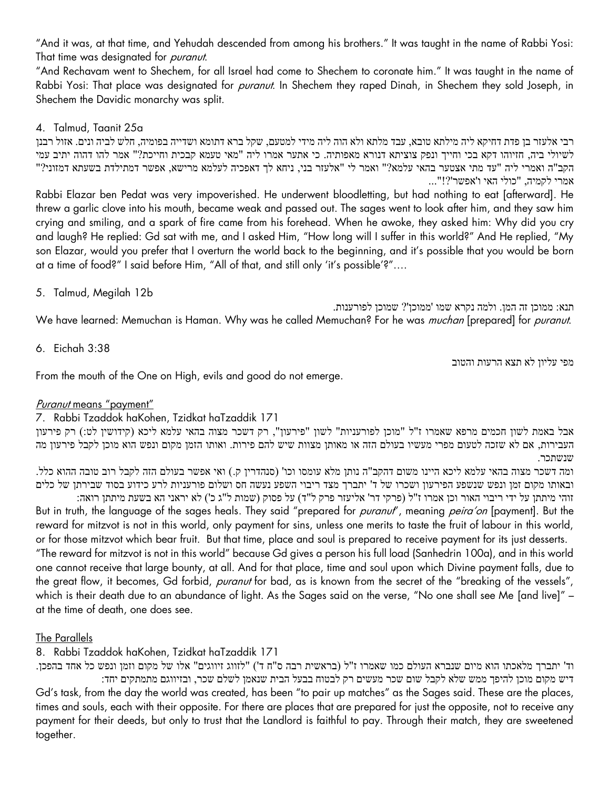"And it was, at that time, and Yehudah descended from among his brothers." It was taught in the name of Rabbi Yosi: That time was designated for *puranut*.

"And Rechavam went to Shechem, for all Israel had come to Shechem to coronate him." It was taught in the name of Rabbi Yosi: That place was designated for *puranut*. In Shechem they raped Dinah, in Shechem they sold Joseph, in Shechem the Davidic monarchy was split.

## 4. Talmud, Taanit 25a

רבי אלעזר בן פדת דחיקא ליה מילתא טובא, עבד מלתא ולא הוה ליה מידי למטעם, שקל ברא דתומא ושדייה בפומיה, חלש לביה ונים. אזול רבנן לשיולי ביה, חזיוהו דקא בכי וחייך ונפק צוציתא דנורא מאפותיה. כי אתער אמרו ליה "מאי טעמא קבכית וחייכת?" אמר להו דהוה יתיב עמי הקב"ה ואמרי ליה "עד מתי אצטער בהאי עלמא?" ואמר לי "אלעזר בני, ניחא לך דאפכיה לעלמא מרישא, אפשר דמתילדת בשעתא דמזוני?" אמרי לקמיה, "כולי האי ו'אפשר '?!"...

Rabbi Elazar ben Pedat was very impoverished. He underwent bloodletting, but had nothing to eat [afterward]. He threw a garlic clove into his mouth, became weak and passed out. The sages went to look after him, and they saw him crying and smiling, and a spark of fire came from his forehead. When he awoke, they asked him: Why did you cry and laugh? He replied: Gd sat with me, and I asked Him, "How long will I suffer in this world?" And He replied, "My son Elazar, would you prefer that I overturn the world back to the beginning, and it's possible that you would be born at a time of food?" I said before Him, "All of that, and still only 'it's possible'?"….

5. Talmud, Megilah 12b

תנא: ממוכן זה המן. ולמה נקרא שמו ' ממוכן'? שמוכן לפורענות. We have learned: Memuchan is Haman. Why was he called Memuchan? For he was *muchan* [prepared] for *puranut.* 

6. Eichah 3:38

מפי עליון לא תצא הרעות והטוב

From the mouth of the One on High, evils and good do not emerge.

## Puranut means "payment"

## 7. Rabbi Tzaddok haKohen, Tzidkat haTzaddik 171

אבל באמת לשון חכמים מרפא שאמרו ז"ל "מוכן לפורעניות" לשון "פירעון", רק דשכר מצוה בהאי עלמא ליכא )קידושין לט:( רק פירעון העבירות, אם לא שזכה לטעום מפרי מעשיו בעולם הזה או מאותן מצוות שיש להם פירות. ואותו הזמן מקום ונפש הוא מוכן לקבל פירעון מה שנשתכר.

ומה דשכר מצוה בהאי עלמא ליכא היינו משום דהקב"ה נותן מלא עומסו וכו' (סנהדרין ק.) ואי אפשר בעולם הזה לקבל רוב טובה ההוא כלל. ובאותו מקום זמן ונפש שנשפע הפירעון ושכרו של ד' יתברך מצד ריבוי השפע נעשה חס ושלום פורעניות לרע כידוע בסוד שבירתן של כלים

זוהי מיתתן על ידי ריבוי האור וכן אמרו ז"ל (פרקי דר' אליעזר פרק ל"ד) על פסוק (שמות ל"ג כ') לא יראני הא בשעת מיתתן רואה: But in truth, the language of the sages heals. They said "prepared for *puranut"*, meaning *peira'on* [payment]. But the reward for mitzvot is not in this world, only payment for sins, unless one merits to taste the fruit of labour in this world, or for those mitzvot which bear fruit. But that time, place and soul is prepared to receive payment for its just desserts. "The reward for mitzvot is not in this world" because Gd gives a person his full load (Sanhedrin 100a), and in this world one cannot receive that large bounty, at all. And for that place, time and soul upon which Divine payment falls, due to the great flow, it becomes, Gd forbid, *puranut* for bad, as is known from the secret of the "breaking of the vessels", which is their death due to an abundance of light. As the Sages said on the verse, "No one shall see Me [and live]" – at the time of death, one does see.

## The Parallels

8. Rabbi Tzaddok haKohen, Tzidkat haTzaddik 171

וד' יתברך מלאכתו הוא מיום שנברא העולם כמו שאמרו ז"ל (בראשית רבה ס"ח ד') "לזווג זיווגים" אלו של מקום וזמן ונפש כל אחד בהפכן. דיש מקום מוכן להיפך ממש שלא לקבל שום שכר מעשים רק לבטוח בבעל הבית שנאמן לשלם שכר, ובזיווגם מתמתקים יחד: Gd's task, from the day the world was created, has been "to pair up matches" as the Sages said. These are the places, times and souls, each with their opposite. For there are places that are prepared for just the opposite, not to receive any payment for their deeds, but only to trust that the Landlord is faithful to pay. Through their match, they are sweetened together.